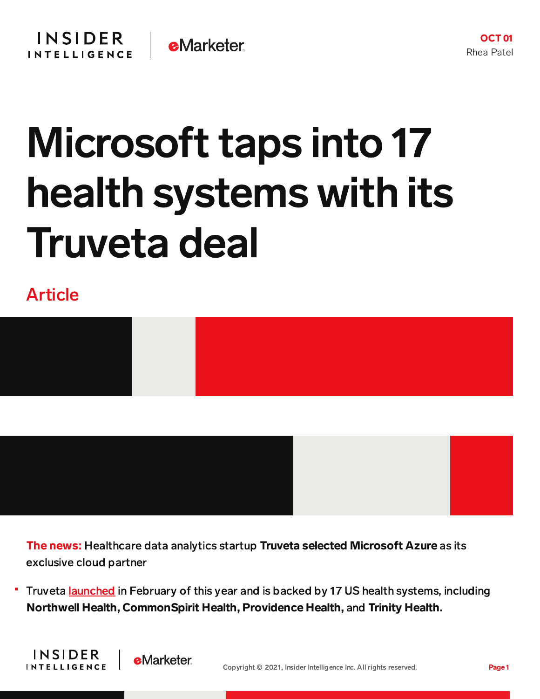## Microsoft taps into 17 health systems with its Truveta deal

Article

**INSIDER** 

**INTELLIGENCE** 

**e**Marketer



The news: Healthcare data analytics startup Truveta selected Microsoft Azure as its exclusive cloud partner

Truveta **[launched](https://content-na1.emarketer.com/14-major-health-systems-come-together-launch-data-analytics-platform)** in February of this year and is backed by 17 US health systems, including Northwell Health, CommonSpirit Health, Providence Health, and Trinity Health.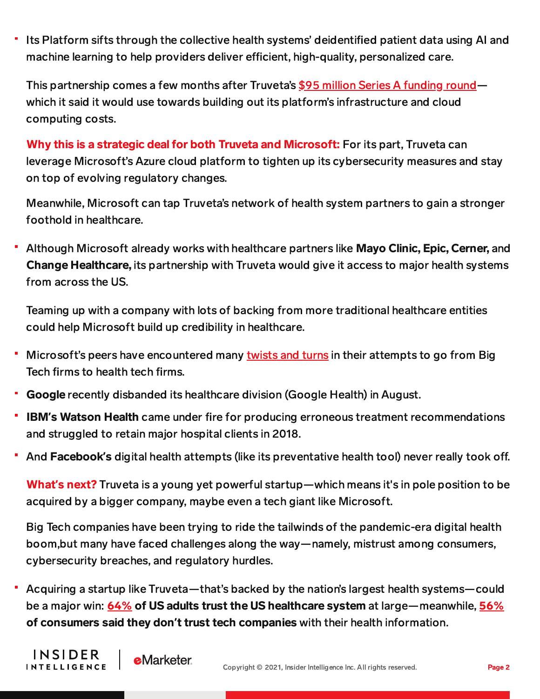Its Platform sifts through the collective health systems' deidentified patient data using AI and machine learning to help providers deliver efficient, high-quality, personalized care.

This partnership comes a few months after Truveta's \$95 million Series A [funding](https://content-na1.emarketer.com/truveta-health-scores-95m) round which it said it would use towards building out its platform's infrastructure and cloud computing costs.

Why this is a strategic deal for both Truveta and Microsoft: For its part, Truveta can leverage Microsoft's Azure cloud platform to tighten up its cybersecurity measures and stay on top of evolving regulatory changes.

Meanwhile, Microsoft can tap Truveta's network of health system partners to gain a stronger foothold in healthcare.

Although Microsoft already works with healthcare partners like Mayo Clinic, Epic, Cerner, and Change Healthcare, its partnership with Truveta would give it access to major health systems from across the US.

Teaming up with a company with lots of backing from more traditional healthcare entities could help Microsoft build up credibility in healthcare.

- ٠ Microsoft's peers have encountered many [twists](https://content-na1.emarketer.com/google-shutters-its-health-division) and turns in their attempts to go from Big Tech firms to health tech firms.
- Google recently disbanded its healthcare division (Google Health) in August.

**INSIDER** 

**INTELLIGENCE** 

**e**Marketer

- IBM**'**s Watson Health came under fire for producing erroneous treatment recommendations and struggled to retain major hospital clients in 2018.
- And **Facebook's** digital health attempts (like its preventative health tool) never really took off.

What**'**s next? Truveta is a young yet powerful startup—which means it's in pole position to be acquired by a bigger company, maybe even a tech giant like Microsoft.

Big Tech companies have been trying to ride the tailwinds of the pandemic-era digital health boom,but many have faced challenges along the way—namely, mistrust among consumers, cybersecurity breaches, and regulatory hurdles.

Acquiring a startup like Truveta—that's backed by the nation's largest health systems—could be a major win: [64%](https://chart-na1.emarketer.com/248505/us-adults-trust-their-health-care-providers-by-age-provider-type-jan-2021-of-respondents-each-group) of US adults trust the US healthcare system at large—meanwhile, [56%](https://www.washingtonpost.com/context/washington-post-university-of-maryland-national-poll-april-21-26-2020/3583b4e9-66be-4ed6-a457-f6630a550ddf/?itid=lk_inline_manual_3) of consumers said they don**'**t trust tech companies with their health information.